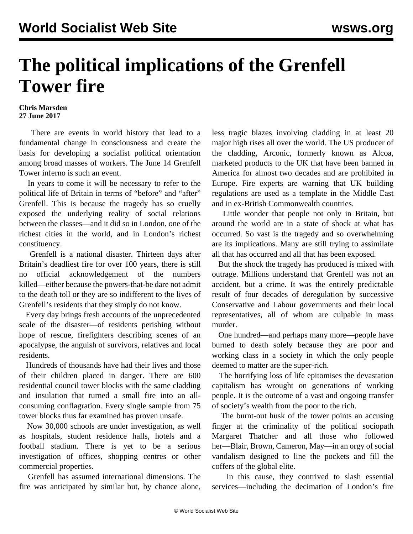## **The political implications of the Grenfell Tower fire**

## **Chris Marsden 27 June 2017**

 There are events in world history that lead to a fundamental change in consciousness and create the basis for developing a socialist political orientation among broad masses of workers. The June 14 Grenfell Tower inferno is such an event.

 In years to come it will be necessary to refer to the political life of Britain in terms of "before" and "after" Grenfell. This is because the tragedy has so cruelly exposed the underlying reality of social relations between the classes—and it did so in London, one of the richest cities in the world, and in London's richest constituency.

 Grenfell is a national disaster. Thirteen days after Britain's deadliest fire for over 100 years, there is still no official acknowledgement of the numbers killed—either because the powers-that-be dare not admit to the death toll or they are so indifferent to the lives of Grenfell's residents that they simply do not know.

 Every day brings fresh accounts of the unprecedented scale of the disaster—of residents perishing without hope of rescue, firefighters describing scenes of an apocalypse, the anguish of survivors, relatives and local residents.

 Hundreds of thousands have had their lives and those of their children placed in danger. There are 600 residential council tower blocks with the same cladding and insulation that turned a small fire into an allconsuming conflagration. Every single sample from 75 tower blocks thus far examined has proven unsafe.

 Now 30,000 schools are under investigation, as well as hospitals, student residence halls, hotels and a football stadium. There is yet to be a serious investigation of offices, shopping centres or other commercial properties.

 Grenfell has assumed international dimensions. The fire was anticipated by similar but, by chance alone, less tragic blazes involving cladding in at least 20 major high rises all over the world. The US producer of the cladding, Arconic, formerly known as Alcoa, marketed products to the UK that have been banned in America for almost two decades and are prohibited in Europe. Fire experts are warning that UK building regulations are used as a template in the Middle East and in ex-British Commonwealth countries.

 Little wonder that people not only in Britain, but around the world are in a state of shock at what has occurred. So vast is the tragedy and so overwhelming are its implications. Many are still trying to assimilate all that has occurred and all that has been exposed.

 But the shock the tragedy has produced is mixed with outrage. Millions understand that Grenfell was not an accident, but a crime. It was the entirely predictable result of four decades of deregulation by successive Conservative and Labour governments and their local representatives, all of whom are culpable in mass murder.

 One hundred—and perhaps many more—people have burned to death solely because they are poor and working class in a society in which the only people deemed to matter are the super-rich.

 The horrifying loss of life epitomises the devastation capitalism has wrought on generations of working people. It is the outcome of a vast and ongoing transfer of society's wealth from the poor to the rich.

 The burnt-out husk of the tower points an accusing finger at the criminality of the political sociopath Margaret Thatcher and all those who followed her—Blair, Brown, Cameron, May—in an orgy of social vandalism designed to line the pockets and fill the coffers of the global elite.

 In this cause, they contrived to slash essential services—including the decimation of London's fire